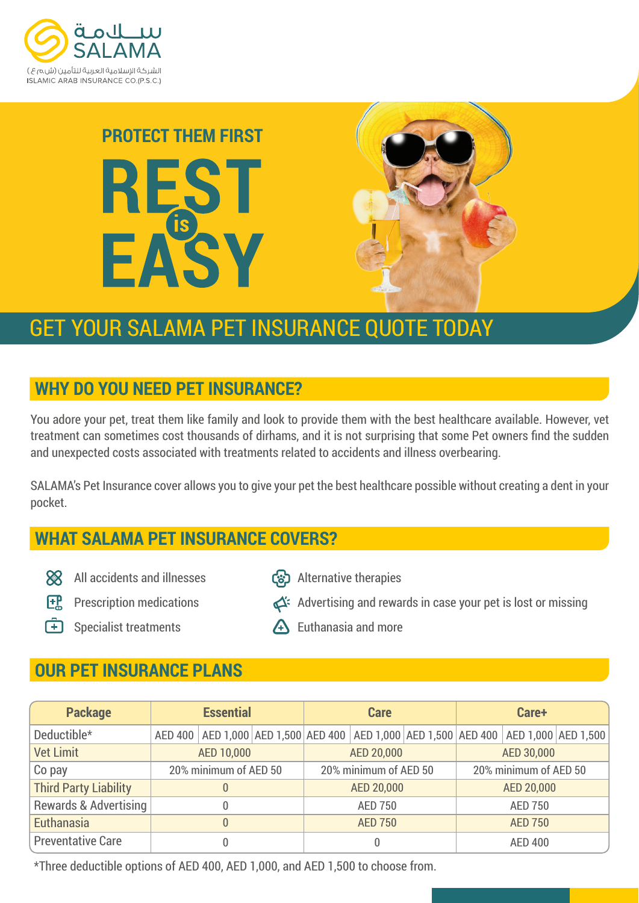





# GET YOUR SALAMA PET INSURANCE QUOTE TODAY

# **WHY DO YOU NEED PET INSURANCE?**

You adore your pet, treat them like family and look to provide them with the best healthcare available. However, vet treatment can sometimes cost thousands of dirhams, and it is not surprising that some Pet owners find the sudden and unexpected costs associated with treatments related to accidents and illness overbearing.

SALAMA's Pet Insurance cover allows you to give your pet the best healthcare possible without creating a dent in your pocket.

# **WHAT SALAMA PET INSURANCE COVERS?**

- All accidents and illnesses
- Alternative therapies
- **FR** Prescription medications
- Advertising and rewards in case your pet is lost or missing
- 

**F** Specialist treatments

A Euthanasia and more

# **OUR PET INSURANCE PLANS**

| <b>Package</b>               | <b>Essential</b>      |  |  | <b>Care</b>           |  |  | Care+                 |                                                                                                     |  |
|------------------------------|-----------------------|--|--|-----------------------|--|--|-----------------------|-----------------------------------------------------------------------------------------------------|--|
| Deductible*                  |                       |  |  |                       |  |  |                       | AED 400   AED 1,000   AED 1,500   AED 400   AED 1,000   AED 1,500   AED 400   AED 1,000   AED 1,500 |  |
| <b>Vet Limit</b>             | AED 10,000            |  |  | AED 20,000            |  |  | AED 30,000            |                                                                                                     |  |
| Co pay                       | 20% minimum of AED 50 |  |  | 20% minimum of AED 50 |  |  | 20% minimum of AED 50 |                                                                                                     |  |
| <b>Third Party Liability</b> |                       |  |  | AED 20,000            |  |  | AED 20,000            |                                                                                                     |  |
| Rewards & Advertising        |                       |  |  | <b>AED 750</b>        |  |  | <b>AED 750</b>        |                                                                                                     |  |
| <b>Euthanasia</b>            |                       |  |  | <b>AED 750</b>        |  |  | <b>AED 750</b>        |                                                                                                     |  |
| <b>Preventative Care</b>     |                       |  |  |                       |  |  | <b>AED 400</b>        |                                                                                                     |  |

\*Three deductible options of AED 400, AED 1,000, and AED 1,500 to choose from.